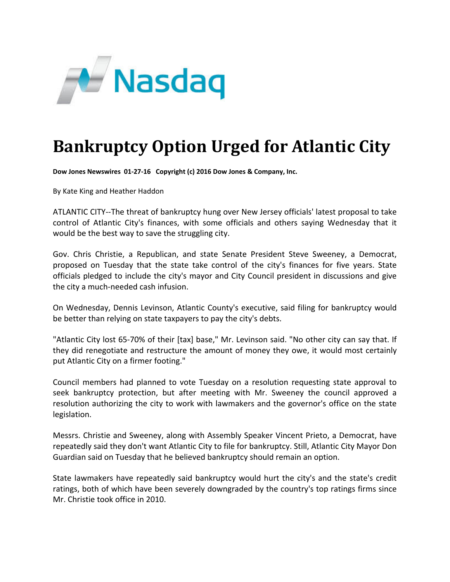

## **Bankruptcy Option Urged for Atlantic City**

**Dow Jones Newswires 01‐27‐16 Copyright (c) 2016 Dow Jones & Company, Inc.**

By Kate King and Heather Haddon

ATLANTIC CITY‐‐The threat of bankruptcy hung over New Jersey officials' latest proposal to take control of Atlantic City's finances, with some officials and others saying Wednesday that it would be the best way to save the struggling city.

Gov. Chris Christie, a Republican, and state Senate President Steve Sweeney, a Democrat, proposed on Tuesday that the state take control of the city's finances for five years. State officials pledged to include the city's mayor and City Council president in discussions and give the city a much‐needed cash infusion.

On Wednesday, Dennis Levinson, Atlantic County's executive, said filing for bankruptcy would be better than relying on state taxpayers to pay the city's debts.

"Atlantic City lost 65‐70% of their [tax] base," Mr. Levinson said. "No other city can say that. If they did renegotiate and restructure the amount of money they owe, it would most certainly put Atlantic City on a firmer footing."

Council members had planned to vote Tuesday on a resolution requesting state approval to seek bankruptcy protection, but after meeting with Mr. Sweeney the council approved a resolution authorizing the city to work with lawmakers and the governor's office on the state legislation.

Messrs. Christie and Sweeney, along with Assembly Speaker Vincent Prieto, a Democrat, have repeatedly said they don't want Atlantic City to file for bankruptcy. Still, Atlantic City Mayor Don Guardian said on Tuesday that he believed bankruptcy should remain an option.

State lawmakers have repeatedly said bankruptcy would hurt the city's and the state's credit ratings, both of which have been severely downgraded by the country's top ratings firms since Mr. Christie took office in 2010.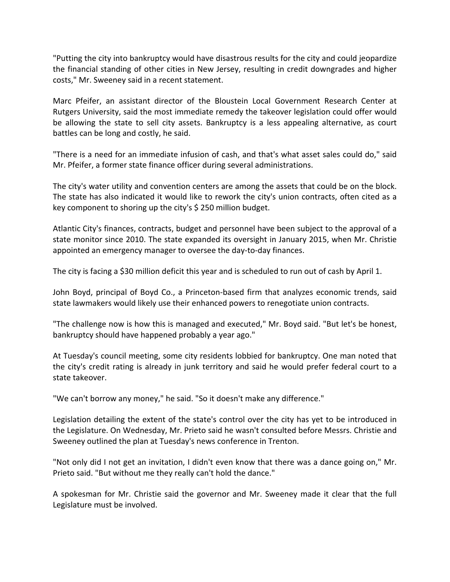"Putting the city into bankruptcy would have disastrous results for the city and could jeopardize the financial standing of other cities in New Jersey, resulting in credit downgrades and higher costs," Mr. Sweeney said in a recent statement.

Marc Pfeifer, an assistant director of the Bloustein Local Government Research Center at Rutgers University, said the most immediate remedy the takeover legislation could offer would be allowing the state to sell city assets. Bankruptcy is a less appealing alternative, as court battles can be long and costly, he said.

"There is a need for an immediate infusion of cash, and that's what asset sales could do," said Mr. Pfeifer, a former state finance officer during several administrations.

The city's water utility and convention centers are among the assets that could be on the block. The state has also indicated it would like to rework the city's union contracts, often cited as a key component to shoring up the city's \$ 250 million budget.

Atlantic City's finances, contracts, budget and personnel have been subject to the approval of a state monitor since 2010. The state expanded its oversight in January 2015, when Mr. Christie appointed an emergency manager to oversee the day‐to‐day finances.

The city is facing a \$30 million deficit this year and is scheduled to run out of cash by April 1.

John Boyd, principal of Boyd Co., a Princeton‐based firm that analyzes economic trends, said state lawmakers would likely use their enhanced powers to renegotiate union contracts.

"The challenge now is how this is managed and executed," Mr. Boyd said. "But let's be honest, bankruptcy should have happened probably a year ago."

At Tuesday's council meeting, some city residents lobbied for bankruptcy. One man noted that the city's credit rating is already in junk territory and said he would prefer federal court to a state takeover.

"We can't borrow any money," he said. "So it doesn't make any difference."

Legislation detailing the extent of the state's control over the city has yet to be introduced in the Legislature. On Wednesday, Mr. Prieto said he wasn't consulted before Messrs. Christie and Sweeney outlined the plan at Tuesday's news conference in Trenton.

"Not only did I not get an invitation, I didn't even know that there was a dance going on," Mr. Prieto said. "But without me they really can't hold the dance."

A spokesman for Mr. Christie said the governor and Mr. Sweeney made it clear that the full Legislature must be involved.